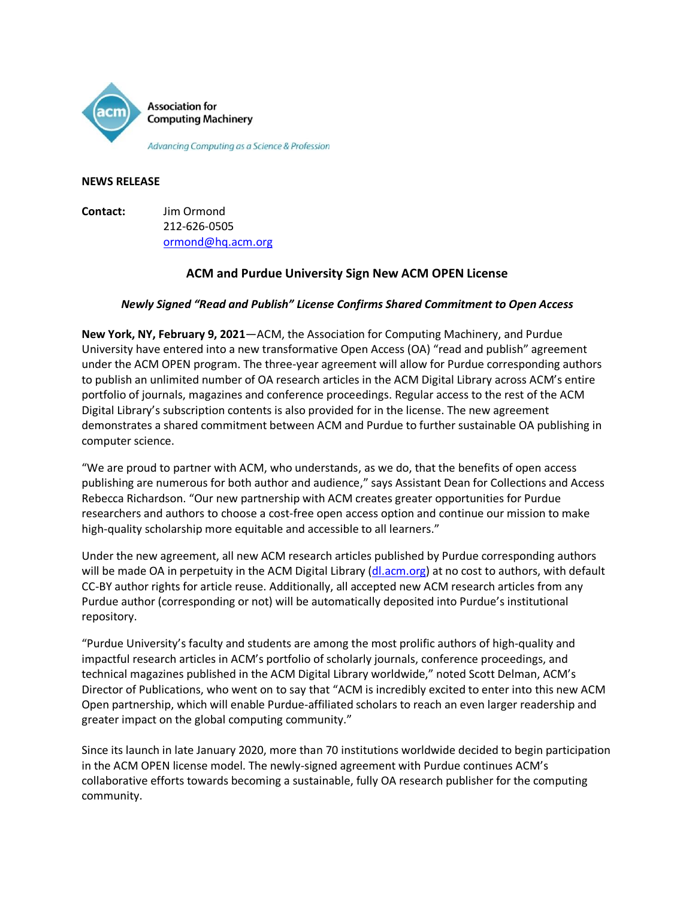

### **NEWS RELEASE**

**Contact:** Jim Ormond 212-626-0505 [ormond@hq.acm.org](mailto:ormond@hq.acm.org)

# **ACM and Purdue University Sign New ACM OPEN License**

# *Newly Signed "Read and Publish" License Confirms Shared Commitment to Open Access*

**New York, NY, February 9, 2021**—ACM, the Association for Computing Machinery, and Purdue University have entered into a new transformative Open Access (OA) "read and publish" agreement under the ACM OPEN program. The three-year agreement will allow for Purdue corresponding authors to publish an unlimited number of OA research articles in the ACM Digital Library across ACM's entire portfolio of journals, magazines and conference proceedings. Regular access to the rest of the ACM Digital Library's subscription contents is also provided for in the license. The new agreement demonstrates a shared commitment between ACM and Purdue to further sustainable OA publishing in computer science.

"We are proud to partner with ACM, who understands, as we do, that the benefits of open access publishing are numerous for both author and audience," says Assistant Dean for Collections and Access Rebecca Richardson. "Our new partnership with ACM creates greater opportunities for Purdue researchers and authors to choose a cost-free open access option and continue our mission to make high-quality scholarship more equitable and accessible to all learners."

Under the new agreement, all new ACM research articles published by Purdue corresponding authors will be made OA in perpetuity in the ACM Digital Library [\(dl.acm.org\)](https://dl.acm.org/) at no cost to authors, with default CC-BY author rights for article reuse. Additionally, all accepted new ACM research articles from any Purdue author (corresponding or not) will be automatically deposited into Purdue's institutional repository.

"Purdue University's faculty and students are among the most prolific authors of high-quality and impactful research articles in ACM's portfolio of scholarly journals, conference proceedings, and technical magazines published in the ACM Digital Library worldwide," noted Scott Delman, ACM's Director of Publications, who went on to say that "ACM is incredibly excited to enter into this new ACM Open partnership, which will enable Purdue-affiliated scholars to reach an even larger readership and greater impact on the global computing community."

Since its launch in late January 2020, more than 70 institutions worldwide decided to begin participation in the ACM OPEN license model. The newly-signed agreement with Purdue continues ACM's collaborative efforts towards becoming a sustainable, fully OA research publisher for the computing community.